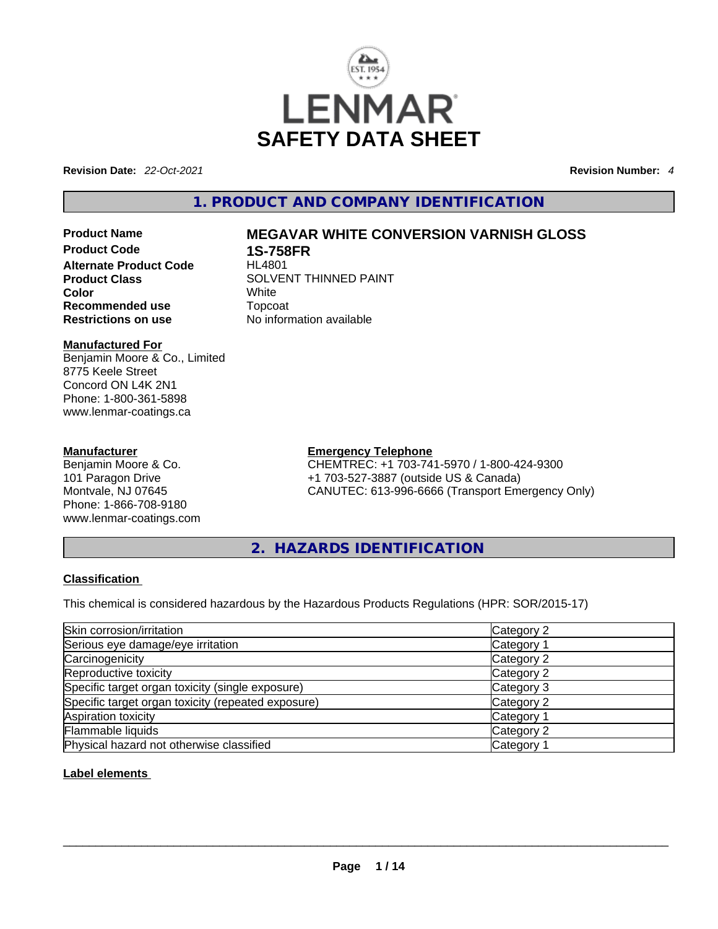

**Revision Date:** *22-Oct-2021* **Revision Number:** *4*

# **1. PRODUCT AND COMPANY IDENTIFICATION**

**Alternate Product Code Color** White **Recommended use** Topcoat **Restrictions on use** No information available

# **Product Name MEGAVAR WHITE CONVERSION VARNISH GLOSS**

**1S-758FR**<br>HL4801 **Product Class SOLVENT THINNED PAINT** 

# **Manufactured For**

Benjamin Moore & Co., Limited 8775 Keele Street Concord ON L4K 2N1 Phone: 1-800-361-5898 www.lenmar-coatings.ca

#### **Manufacturer**

Benjamin Moore & Co. 101 Paragon Drive Montvale, NJ 07645 Phone: 1-866-708-9180 www.lenmar-coatings.com

#### **Emergency Telephone**

CHEMTREC: +1 703-741-5970 / 1-800-424-9300 +1 703-527-3887 (outside US & Canada) CANUTEC: 613-996-6666 (Transport Emergency Only)

**2. HAZARDS IDENTIFICATION** 

### **Classification**

This chemical is considered hazardous by the Hazardous Products Regulations (HPR: SOR/2015-17)

| Skin corrosion/irritation                          | Category 2            |
|----------------------------------------------------|-----------------------|
| Serious eye damage/eye irritation                  | Category 1            |
| Carcinogenicity                                    | Category 2            |
| Reproductive toxicity                              | Category 2            |
| Specific target organ toxicity (single exposure)   | Category 3            |
| Specific target organ toxicity (repeated exposure) | Category 2            |
| Aspiration toxicity                                | Category 1            |
| Flammable liquids                                  | Category 2            |
| Physical hazard not otherwise classified           | Category <sup>2</sup> |

### **Label elements**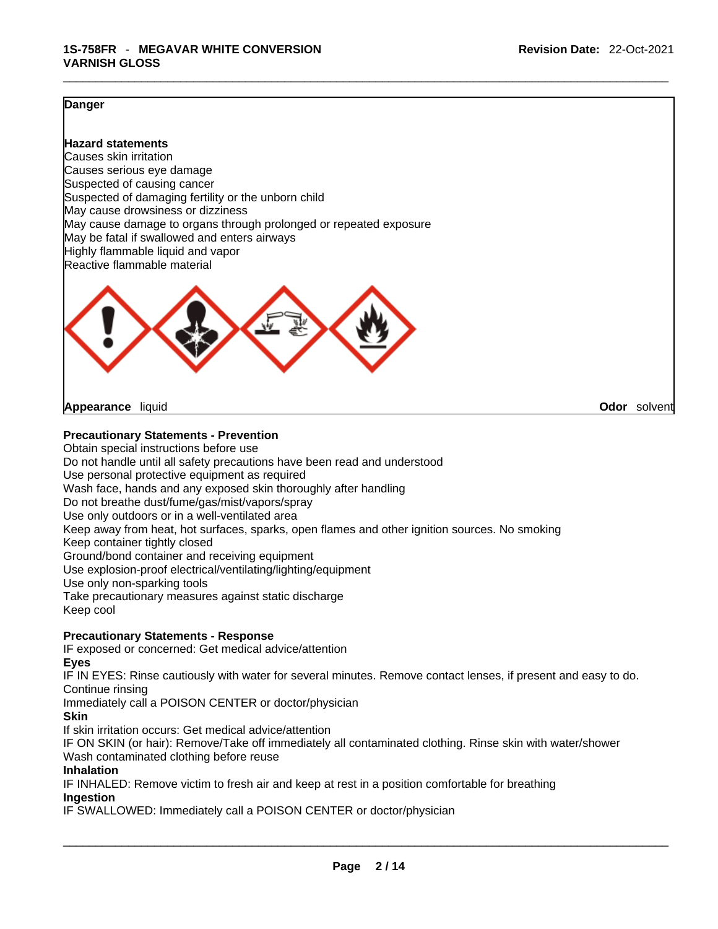#### **Danger**

**Hazard statements** Causes skin irritation Causes serious eye damage Suspected of causing cancer Suspected of damaging fertility or the unborn child May cause drowsiness or dizziness May cause damage to organs through prolonged or repeated exposure May be fatal if swallowed and enters airways Highly flammable liquid and vapor Reactive flammable material



**Appearance** liquid **Odor** *Solvent* **Appearance Contract Appearance Odor** solvent

#### **Precautionary Statements - Prevention**

Obtain special instructions before use Do not handle until all safety precautions have been read and understood Use personal protective equipment as required Wash face, hands and any exposed skin thoroughly after handling Do not breathe dust/fume/gas/mist/vapors/spray Use only outdoors or in a well-ventilated area Keep away from heat, hot surfaces, sparks, open flames and other ignition sources. No smoking Keep container tightly closed Ground/bond container and receiving equipment Use explosion-proof electrical/ventilating/lighting/equipment Use only non-sparking tools Take precautionary measures against static discharge Keep cool

#### **Precautionary Statements - Response**

IF exposed or concerned: Get medical advice/attention

**Eyes**

IF IN EYES: Rinse cautiously with water for several minutes. Remove contact lenses, if present and easy to do. Continue rinsing

Immediately call a POISON CENTER or doctor/physician

#### **Skin**

If skin irritation occurs: Get medical advice/attention

IF ON SKIN (or hair): Remove/Take off immediately all contaminated clothing. Rinse skin with water/shower Wash contaminated clothing before reuse

### **Inhalation**

IF INHALED: Remove victim to fresh air and keep at rest in a position comfortable for breathing **Ingestion**

IF SWALLOWED: Immediately call a POISON CENTER or doctor/physician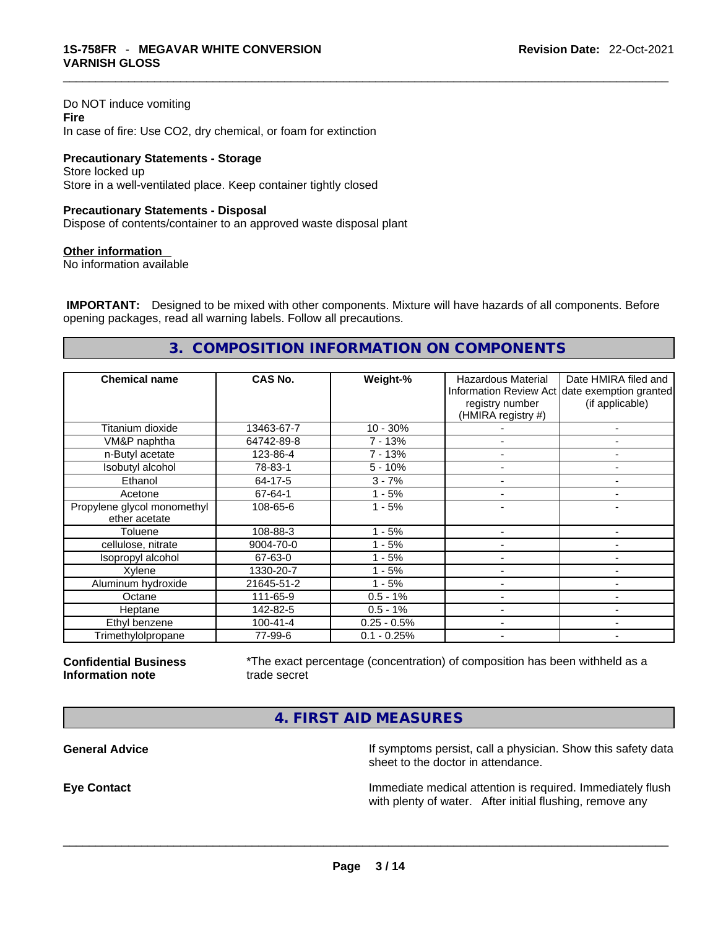Do NOT induce vomiting **Fire** In case of fire: Use CO2, dry chemical, or foam for extinction

**Precautionary Statements - Storage** Store locked up Store in a well-ventilated place. Keep container tightly closed

#### **Precautionary Statements - Disposal**

Dispose of contents/container to an approved waste disposal plant

#### **Other information**

No information available

 **IMPORTANT:** Designed to be mixed with other components. Mixture will have hazards of all components. Before opening packages, read all warning labels. Follow all precautions.

# **3. COMPOSITION INFORMATION ON COMPONENTS**

| <b>Chemical name</b>                         | CAS No.        | Weight-%      | Hazardous Material<br>registry number<br>(HMIRA registry #) | Date HMIRA filed and<br>Information Review Act date exemption granted<br>(if applicable) |
|----------------------------------------------|----------------|---------------|-------------------------------------------------------------|------------------------------------------------------------------------------------------|
| Titanium dioxide                             | 13463-67-7     | $10 - 30%$    |                                                             | ٠                                                                                        |
| VM&P naphtha                                 | 64742-89-8     | 7 - 13%       |                                                             |                                                                                          |
| n-Butyl acetate                              | 123-86-4       | $7 - 13%$     |                                                             |                                                                                          |
| Isobutyl alcohol                             | 78-83-1        | $5 - 10%$     |                                                             |                                                                                          |
| Ethanol                                      | 64-17-5        | $3 - 7%$      |                                                             | $\overline{\phantom{0}}$                                                                 |
| Acetone                                      | 67-64-1        | $1 - 5%$      |                                                             | ۰                                                                                        |
| Propylene glycol monomethyl<br>ether acetate | 108-65-6       | $1 - 5%$      |                                                             |                                                                                          |
| Toluene                                      | 108-88-3       | $1 - 5%$      |                                                             | ٠                                                                                        |
| cellulose, nitrate                           | 9004-70-0      | $1 - 5%$      |                                                             |                                                                                          |
| Isopropyl alcohol                            | 67-63-0        | $1 - 5%$      |                                                             |                                                                                          |
| Xylene                                       | 1330-20-7      | $1 - 5%$      |                                                             | ۰                                                                                        |
| Aluminum hydroxide                           | 21645-51-2     | $1 - 5%$      | $\overline{\phantom{0}}$                                    | $\overline{\phantom{a}}$                                                                 |
| Octane                                       | 111-65-9       | $0.5 - 1%$    |                                                             |                                                                                          |
| Heptane                                      | 142-82-5       | $0.5 - 1%$    |                                                             |                                                                                          |
| Ethyl benzene                                | $100 - 41 - 4$ | $0.25 - 0.5%$ |                                                             |                                                                                          |
| Trimethylolpropane                           | 77-99-6        | $0.1 - 0.25%$ | $\overline{\phantom{a}}$                                    | ۰                                                                                        |

**Confidential Business Information note**

\*The exact percentage (concentration) of composition has been withheld as a trade secret

**4. FIRST AID MEASURES** 

**General Advice If** symptoms persist, call a physician. Show this safety data sheet to the doctor in attendance.

**Eye Contact Immediate medical attention is required. Immediately flush** Immediately flush with plenty of water. After initial flushing, remove any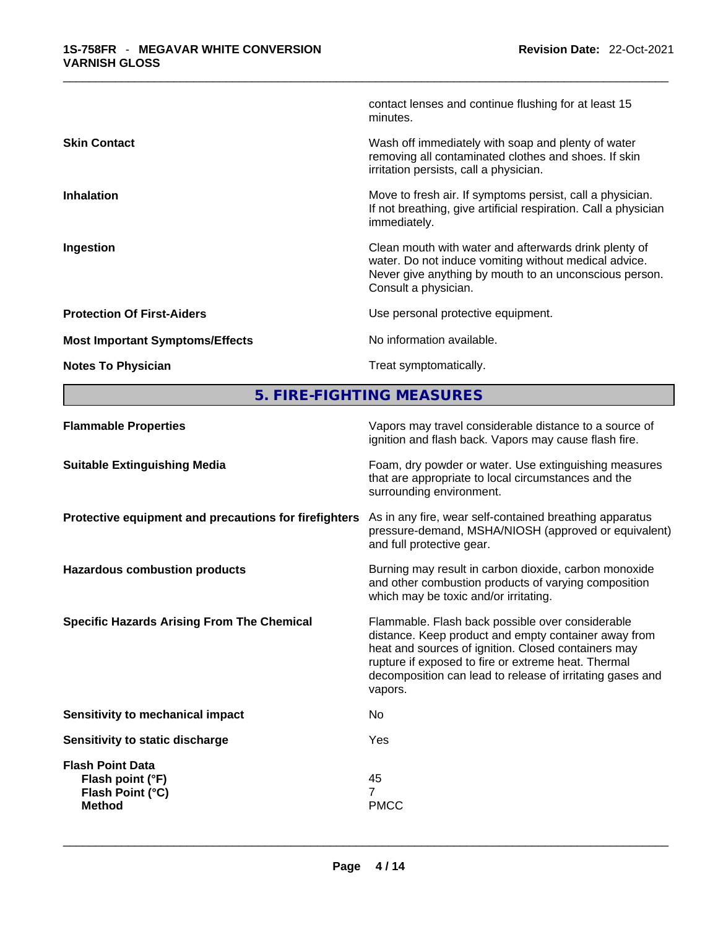|                                        | contact lenses and continue flushing for at least 15<br>minutes.                                                                                                                                 |
|----------------------------------------|--------------------------------------------------------------------------------------------------------------------------------------------------------------------------------------------------|
| <b>Skin Contact</b>                    | Wash off immediately with soap and plenty of water<br>removing all contaminated clothes and shoes. If skin<br>irritation persists, call a physician.                                             |
| <b>Inhalation</b>                      | Move to fresh air. If symptoms persist, call a physician.<br>If not breathing, give artificial respiration. Call a physician<br>immediately.                                                     |
| Ingestion                              | Clean mouth with water and afterwards drink plenty of<br>water. Do not induce vomiting without medical advice.<br>Never give anything by mouth to an unconscious person.<br>Consult a physician. |
| <b>Protection Of First-Aiders</b>      | Use personal protective equipment.                                                                                                                                                               |
| <b>Most Important Symptoms/Effects</b> | No information available.                                                                                                                                                                        |
| <b>Notes To Physician</b>              | Treat symptomatically.                                                                                                                                                                           |
|                                        |                                                                                                                                                                                                  |

**5. FIRE-FIGHTING MEASURES** 

| <b>Flammable Properties</b>                                                      | Vapors may travel considerable distance to a source of<br>ignition and flash back. Vapors may cause flash fire.                                                                                                                                                                                |
|----------------------------------------------------------------------------------|------------------------------------------------------------------------------------------------------------------------------------------------------------------------------------------------------------------------------------------------------------------------------------------------|
| <b>Suitable Extinguishing Media</b>                                              | Foam, dry powder or water. Use extinguishing measures<br>that are appropriate to local circumstances and the<br>surrounding environment.                                                                                                                                                       |
| Protective equipment and precautions for firefighters                            | As in any fire, wear self-contained breathing apparatus<br>pressure-demand, MSHA/NIOSH (approved or equivalent)<br>and full protective gear.                                                                                                                                                   |
| <b>Hazardous combustion products</b>                                             | Burning may result in carbon dioxide, carbon monoxide<br>and other combustion products of varying composition<br>which may be toxic and/or irritating.                                                                                                                                         |
| <b>Specific Hazards Arising From The Chemical</b>                                | Flammable. Flash back possible over considerable<br>distance. Keep product and empty container away from<br>heat and sources of ignition. Closed containers may<br>rupture if exposed to fire or extreme heat. Thermal<br>decomposition can lead to release of irritating gases and<br>vapors. |
| Sensitivity to mechanical impact                                                 | No                                                                                                                                                                                                                                                                                             |
| Sensitivity to static discharge                                                  | Yes                                                                                                                                                                                                                                                                                            |
| <b>Flash Point Data</b><br>Flash point (°F)<br>Flash Point (°C)<br><b>Method</b> | 45<br><b>PMCC</b>                                                                                                                                                                                                                                                                              |
|                                                                                  |                                                                                                                                                                                                                                                                                                |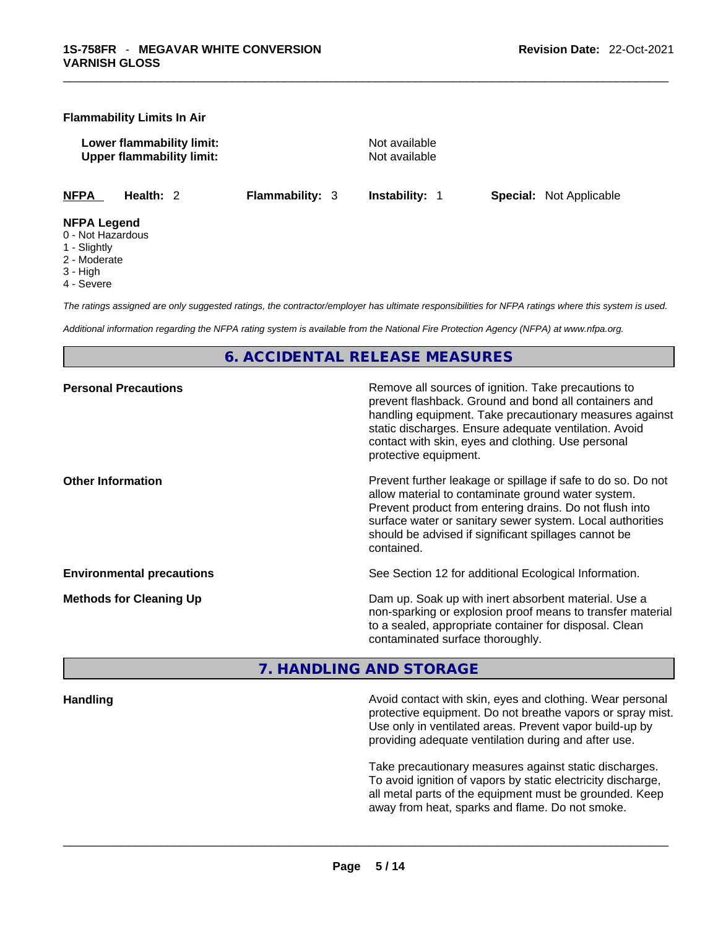#### **Flammability Limits In Air**

**Lower flammability limit:**<br> **Commability limit:** Not available<br>
Upper flammability limit: **Upper flammability limit:** 

**NFPA Health:** 2 **Flammability:** 3 **Instability:** 1 **Special:** Not Applicable

#### **NFPA Legend**

- 0 Not Hazardous
- 1 Slightly
- 2 Moderate
- 3 High
- 4 Severe

*The ratings assigned are only suggested ratings, the contractor/employer has ultimate responsibilities for NFPA ratings where this system is used.* 

*Additional information regarding the NFPA rating system is available from the National Fire Protection Agency (NFPA) at www.nfpa.org.* 

## **6. ACCIDENTAL RELEASE MEASURES**

| <b>Personal Precautions</b>      | Remove all sources of ignition. Take precautions to<br>prevent flashback. Ground and bond all containers and<br>handling equipment. Take precautionary measures against<br>static discharges. Ensure adequate ventilation. Avoid<br>contact with skin, eyes and clothing. Use personal<br>protective equipment.  |
|----------------------------------|------------------------------------------------------------------------------------------------------------------------------------------------------------------------------------------------------------------------------------------------------------------------------------------------------------------|
| <b>Other Information</b>         | Prevent further leakage or spillage if safe to do so. Do not<br>allow material to contaminate ground water system.<br>Prevent product from entering drains. Do not flush into<br>surface water or sanitary sewer system. Local authorities<br>should be advised if significant spillages cannot be<br>contained. |
| <b>Environmental precautions</b> | See Section 12 for additional Ecological Information.                                                                                                                                                                                                                                                            |
| <b>Methods for Cleaning Up</b>   | Dam up. Soak up with inert absorbent material. Use a<br>non-sparking or explosion proof means to transfer material<br>to a sealed, appropriate container for disposal. Clean<br>contaminated surface thoroughly.                                                                                                 |

# **7. HANDLING AND STORAGE**

| <b>Handling</b> |
|-----------------|
|-----------------|

**Handling** Avoid contact with skin, eyes and clothing. Wear personal protective equipment. Do not breathe vapors or spray mist. Use only in ventilated areas. Prevent vapor build-up by providing adequate ventilation during and after use.

Take precautionary measures against static discharges. To avoid ignition of vapors by static electricity discharge, all metal parts of the equipment must be grounded. Keep away from heat, sparks and flame. Do not smoke.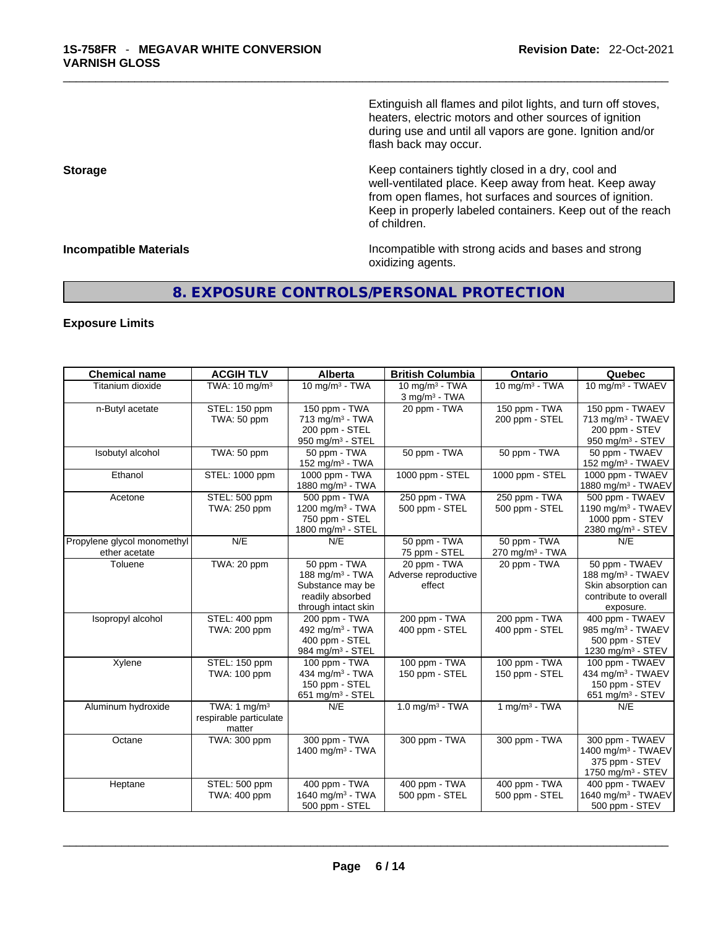Extinguish all flames and pilot lights, and turn off stoves, heaters, electric motors and other sources of ignition during use and until all vapors are gone. Ignition and/or flash back may occur.

**Storage Storage Keep containers tightly closed in a dry, cool and** well-ventilated place. Keep away from heat. Keep away from open flames, hot surfaces and sources of ignition. Keep in properly labeled containers. Keep out of the reach of children.

**Incompatible Materials Incompatible Materials Incompatible with strong acids and bases and strong** oxidizing agents.

# **8. EXPOSURE CONTROLS/PERSONAL PROTECTION**

### **Exposure Limits**

| <b>Chemical name</b>                         | <b>ACGIH TLV</b>                                   | Alberta                                                                                                    | <b>British Columbia</b>                                     | Ontario                                     | Quebec                                                                                                       |
|----------------------------------------------|----------------------------------------------------|------------------------------------------------------------------------------------------------------------|-------------------------------------------------------------|---------------------------------------------|--------------------------------------------------------------------------------------------------------------|
| Titanium dioxide                             | TWA: 10 mg/m <sup>3</sup>                          | $10$ mg/m <sup>3</sup> - TWA                                                                               | $10$ mg/m <sup>3</sup> - TWA<br>$3$ mg/m <sup>3</sup> - TWA | $10$ mg/m <sup>3</sup> - TWA                | 10 mg/m <sup>3</sup> - TWAEV                                                                                 |
| n-Butyl acetate                              | STEL: 150 ppm<br>TWA: 50 ppm                       | 150 ppm - TWA<br>$713$ mg/m <sup>3</sup> - TWA<br>200 ppm - STEL<br>950 mg/m $3 -$ STEL                    | 20 ppm - TWA                                                | 150 ppm - TWA<br>200 ppm - STEL             | 150 ppm - TWAEV<br>713 mg/m <sup>3</sup> - TWAEV<br>200 ppm - STEV<br>950 mg/m <sup>3</sup> - STEV           |
| Isobutyl alcohol                             | TWA: 50 ppm                                        | 50 ppm - TWA<br>152 mg/m <sup>3</sup> - TWA                                                                | 50 ppm - TWA                                                | 50 ppm - TWA                                | 50 ppm - TWAEV<br>152 mg/m <sup>3</sup> - TWAEV                                                              |
| Ethanol                                      | STEL: 1000 ppm                                     | 1000 ppm - TWA<br>1880 mg/m $3 - TWA$                                                                      | 1000 ppm - STEL                                             | 1000 ppm - STEL                             | 1000 ppm - TWAEV<br>1880 mg/m <sup>3</sup> - TWAEV                                                           |
| Acetone                                      | STEL: 500 ppm<br>TWA: 250 ppm                      | 500 ppm - TWA<br>1200 mg/m <sup>3</sup> - TWA<br>750 ppm - STEL<br>1800 mg/m <sup>3</sup> - STEL           | 250 ppm - TWA<br>500 ppm - STEL                             | 250 ppm - TWA<br>500 ppm - STEL             | 500 ppm - TWAEV<br>1190 mg/m <sup>3</sup> - TWAEV<br>1000 ppm - STEV<br>2380 mg/m <sup>3</sup> - STEV        |
| Propylene glycol monomethyl<br>ether acetate | N/E                                                | N/E                                                                                                        | 50 ppm - TWA<br>75 ppm - STEL                               | 50 ppm - TWA<br>270 mg/m <sup>3</sup> - TWA | N/E                                                                                                          |
| Toluene                                      | TWA: 20 ppm                                        | 50 ppm - TWA<br>188 mg/m <sup>3</sup> - TWA<br>Substance may be<br>readily absorbed<br>through intact skin | 20 ppm - TWA<br>Adverse reproductive<br>effect              | 20 ppm - TWA                                | 50 ppm - TWAEV<br>188 mg/m <sup>3</sup> - TWAEV<br>Skin absorption can<br>contribute to overall<br>exposure. |
| Isopropyl alcohol                            | STEL: 400 ppm<br>TWA: 200 ppm                      | 200 ppm - TWA<br>492 mg/m <sup>3</sup> - TWA<br>400 ppm - STEL<br>984 mg/m <sup>3</sup> - STEL             | 200 ppm - TWA<br>400 ppm - STEL                             | 200 ppm - TWA<br>400 ppm - STEL             | 400 ppm - TWAEV<br>985 mg/m <sup>3</sup> - TWAEV<br>500 ppm - STEV<br>1230 mg/m <sup>3</sup> - STEV          |
| Xylene                                       | STEL: 150 ppm<br>TWA: 100 ppm                      | 100 ppm - TWA<br>434 mg/m $3$ - TWA<br>150 ppm - STEL<br>651 mg/m $3 -$ STEL                               | 100 ppm - TWA<br>150 ppm - STEL                             | 100 ppm - TWA<br>150 ppm - STEL             | 100 ppm - TWAEV<br>434 mg/m <sup>3</sup> - TWAEV<br>150 ppm - STEV<br>651 mg/m $3 -$ STEV                    |
| Aluminum hydroxide                           | TWA: 1 $mg/m3$<br>respirable particulate<br>matter | N/E                                                                                                        | $1.0$ mg/m <sup>3</sup> - TWA                               | $1$ mg/m <sup>3</sup> - TWA                 | N/E                                                                                                          |
| Octane                                       | TWA: 300 ppm                                       | 300 ppm - TWA<br>1400 mg/m <sup>3</sup> - TWA                                                              | 300 ppm - TWA                                               | 300 ppm - TWA                               | 300 ppm - TWAEV<br>1400 mg/m <sup>3</sup> - TWAEV<br>375 ppm - STEV<br>1750 mg/m $3 -$ STEV                  |
| Heptane                                      | STEL: 500 ppm<br>TWA: 400 ppm                      | 400 ppm - TWA<br>1640 mg/m <sup>3</sup> - TWA<br>500 ppm - STEL                                            | 400 ppm - TWA<br>500 ppm - STEL                             | 400 ppm - TWA<br>500 ppm - STEL             | 400 ppm - TWAEV<br>1640 mg/m <sup>3</sup> - TWAEV<br>500 ppm - STEV                                          |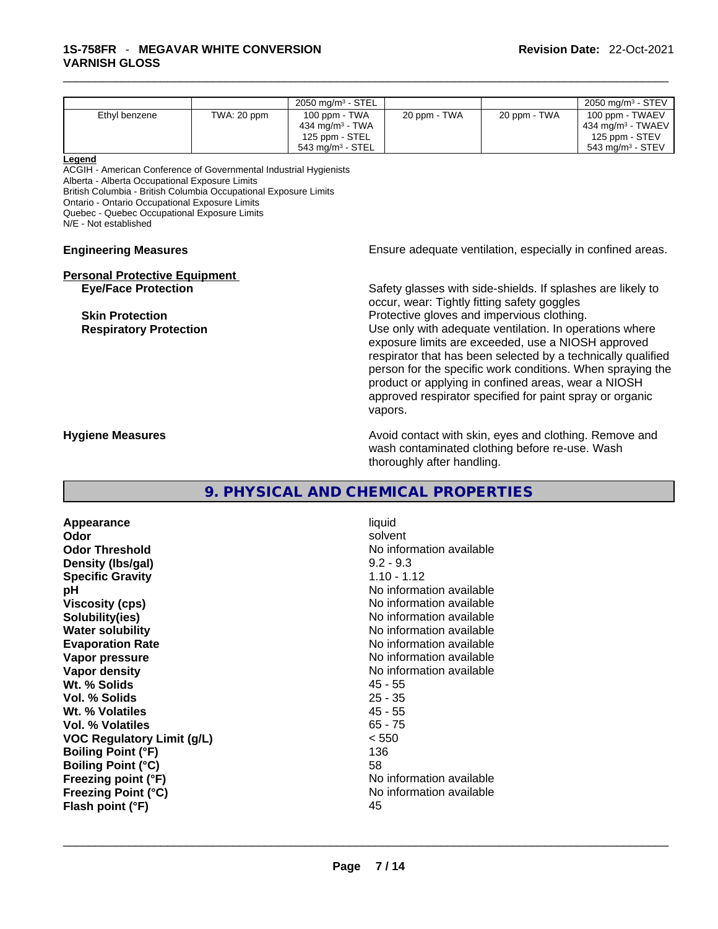|                                                                   |             | 2050 mg/m $3 -$ STEL                                       |                                                             |              | 2050 mg/m <sup>3</sup> - STEV                                |  |  |  |
|-------------------------------------------------------------------|-------------|------------------------------------------------------------|-------------------------------------------------------------|--------------|--------------------------------------------------------------|--|--|--|
| Ethyl benzene                                                     | TWA: 20 ppm | 100 ppm - TWA                                              | 20 ppm - TWA                                                | 20 ppm - TWA | 100 ppm - TWAEV                                              |  |  |  |
|                                                                   |             | 434 mg/m $3 - TWA$                                         |                                                             |              | 434 mg/m <sup>3</sup> - TWAEV                                |  |  |  |
|                                                                   |             | 125 ppm - STEL                                             |                                                             |              | 125 ppm - STEV                                               |  |  |  |
|                                                                   |             | 543 mg/m $3 -$ STEL                                        |                                                             |              | $543$ mg/m <sup>3</sup> - STEV                               |  |  |  |
| Legend                                                            |             |                                                            |                                                             |              |                                                              |  |  |  |
| ACGIH - American Conference of Governmental Industrial Hygienists |             |                                                            |                                                             |              |                                                              |  |  |  |
| Alberta - Alberta Occupational Exposure Limits                    |             |                                                            |                                                             |              |                                                              |  |  |  |
| British Columbia - British Columbia Occupational Exposure Limits  |             |                                                            |                                                             |              |                                                              |  |  |  |
| Ontario - Ontario Occupational Exposure Limits                    |             |                                                            |                                                             |              |                                                              |  |  |  |
| Quebec - Quebec Occupational Exposure Limits                      |             |                                                            |                                                             |              |                                                              |  |  |  |
| N/E - Not established                                             |             |                                                            |                                                             |              |                                                              |  |  |  |
|                                                                   |             |                                                            |                                                             |              |                                                              |  |  |  |
| <b>Engineering Measures</b>                                       |             | Ensure adequate ventilation, especially in confined areas. |                                                             |              |                                                              |  |  |  |
|                                                                   |             |                                                            |                                                             |              |                                                              |  |  |  |
| <b>Personal Protective Equipment</b>                              |             |                                                            |                                                             |              |                                                              |  |  |  |
| <b>Eye/Face Protection</b>                                        |             |                                                            | Safety glasses with side-shields. If splashes are likely to |              |                                                              |  |  |  |
|                                                                   |             |                                                            | occur, wear: Tightly fitting safety goggles                 |              |                                                              |  |  |  |
| <b>Skin Protection</b>                                            |             |                                                            | Protective gloves and impervious clothing.                  |              |                                                              |  |  |  |
| <b>Respiratory Protection</b>                                     |             |                                                            | Use only with adequate ventilation. In operations where     |              |                                                              |  |  |  |
|                                                                   |             | exposure limits are exceeded, use a NIOSH approved         |                                                             |              |                                                              |  |  |  |
|                                                                   |             |                                                            |                                                             |              |                                                              |  |  |  |
|                                                                   |             |                                                            |                                                             |              | respirator that has been selected by a technically qualified |  |  |  |
|                                                                   |             | person for the specific work conditions. When spraying the |                                                             |              |                                                              |  |  |  |
|                                                                   |             | product or applying in confined areas, wear a NIOSH        |                                                             |              |                                                              |  |  |  |
|                                                                   |             |                                                            | approved respirator specified for paint spray or organic    |              |                                                              |  |  |  |
|                                                                   |             |                                                            |                                                             |              |                                                              |  |  |  |
|                                                                   |             |                                                            | vapors.                                                     |              |                                                              |  |  |  |
| <b>Hygiene Measures</b>                                           |             |                                                            | Avoid contact with skin, eyes and clothing. Remove and      |              |                                                              |  |  |  |
|                                                                   |             |                                                            | woob contaminated olething hefere re use Moob               |              |                                                              |  |  |  |

wash contaminated clothing before re-use. Wash thoroughly after handling.

### **9. PHYSICAL AND CHEMICAL PROPERTIES**

**Appearance and interventional contracts** and interventional contracts of the set of the set of the set of the set of the set of the set of the set of the set of the set of the set of the set of the set of the set of the s **Odor** solvent **Odor Threshold** No information available **Density (Ibs/gal)** 9.2 - 9.3<br> **Specific Gravity** 1.10 - 1.12 **Specific Gravity pH pH No** information available **Viscosity (cps) No information available No** information available **Solubility(ies)** No information available **Water solubility Water solubility No information available Evaporation Rate No information available Evaporation Rate No information available**<br> **Vapor pressure No information available**<br>
No information available **Vapor density No information available No information available Wt. % Solids** 45 - 55 **Vol. % Solids** 25 - 35 **Wt. % Volatiles Vol. % Volatiles** 65 - 75 **VOC Regulatory Limit (g/L)** < 550 **Boiling Point (°F)** 136 **Boiling Point (°C)** 58 **Freezing point (°F)** No information available **Freezing Point (°C)**<br> **Flash point (°F)**<br> **Flash point (°F)**<br> **Plash point (°F)**<br> **Plash point (°F) Flash point (°F)** 

**No information available**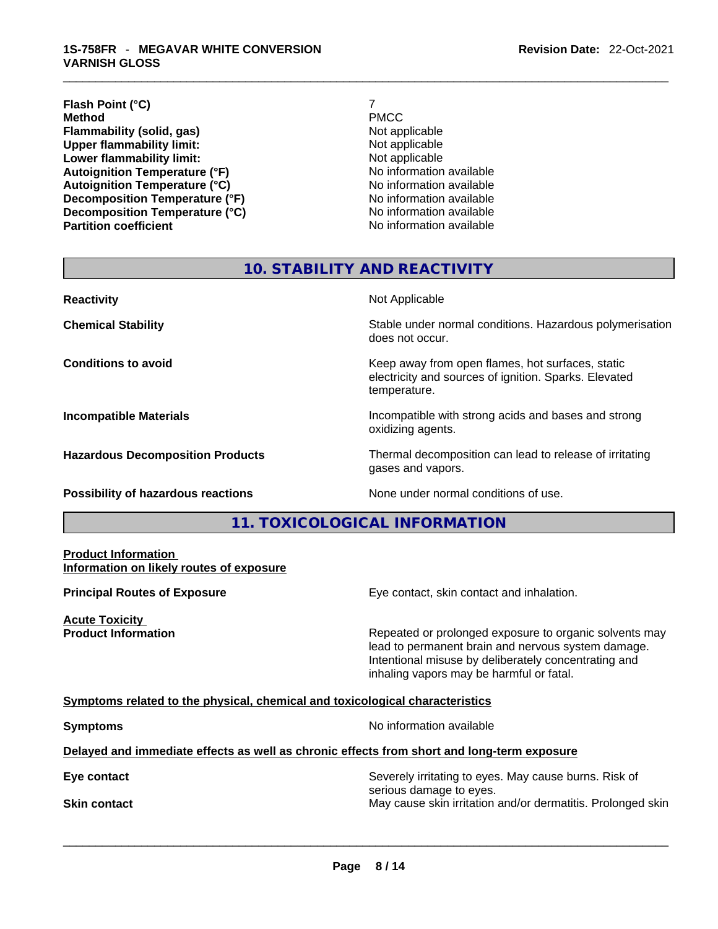#### \_\_\_\_\_\_\_\_\_\_\_\_\_\_\_\_\_\_\_\_\_\_\_\_\_\_\_\_\_\_\_\_\_\_\_\_\_\_\_\_\_\_\_\_\_\_\_\_\_\_\_\_\_\_\_\_\_\_\_\_\_\_\_\_\_\_\_\_\_\_\_\_\_\_\_\_\_\_\_\_\_\_\_\_\_\_\_\_\_\_\_\_\_ **1S-758FR** - **MEGAVAR WHITE CONVERSION VARNISH GLOSS**

## **Flash Point (°C)** 7<br> **Method** PMCC **Method** PMCC **Flammability (solid, gas)** Not applicable **Upper flammability limit:** Not applicable **Lower flammability limit:**<br> **Autoianition Temperature (°F)**<br>
Mo information available **Autoignition Temperature (°F)**<br> **Autoignition Temperature (°C)** No information available **Autoignition Temperature (°C) Decomposition Temperature (°F)**<br> **Decomposition Temperature (°C)** No information available **Decomposition Temperature (°C)**<br>Partition coefficient

**No information available** 

# **10. STABILITY AND REACTIVITY**

| <b>Reactivity</b>                       | Not Applicable                                                                                                            |
|-----------------------------------------|---------------------------------------------------------------------------------------------------------------------------|
| <b>Chemical Stability</b>               | Stable under normal conditions. Hazardous polymerisation<br>does not occur.                                               |
| <b>Conditions to avoid</b>              | Keep away from open flames, hot surfaces, static<br>electricity and sources of ignition. Sparks. Elevated<br>temperature. |
| <b>Incompatible Materials</b>           | Incompatible with strong acids and bases and strong<br>oxidizing agents.                                                  |
| <b>Hazardous Decomposition Products</b> | Thermal decomposition can lead to release of irritating<br>gases and vapors.                                              |
|                                         |                                                                                                                           |

**Possibility of hazardous reactions** None under normal conditions of use.

# **11. TOXICOLOGICAL INFORMATION**

#### **Product Information Information on likely routes of exposure**

**Acute Toxicity** 

**Principal Routes of Exposure Exposure** Eye contact, skin contact and inhalation.

**Product Information Repeated or prolonged exposure to organic solvents may** Repeated or prolonged exposure to organic solvents may lead to permanent brain and nervous system damage. Intentional misuse by deliberately concentrating and inhaling vapors may be harmful or fatal.

### **Symptoms related to the physical,chemical and toxicological characteristics**

**Symptoms Symptoms No information available** 

### **Delayed and immediate effects as well as chronic effects from short and long-term exposure**

**Eye contact Severely irritating to eyes. May cause burns. Risk of Severely irritating to eyes. May cause burns. Risk of** serious damage to eyes. **Skin contact May cause skin irritation and/or dermatitis. Prolonged skin Skin contact May cause skin irritation and/or dermatitis. Prolonged skin**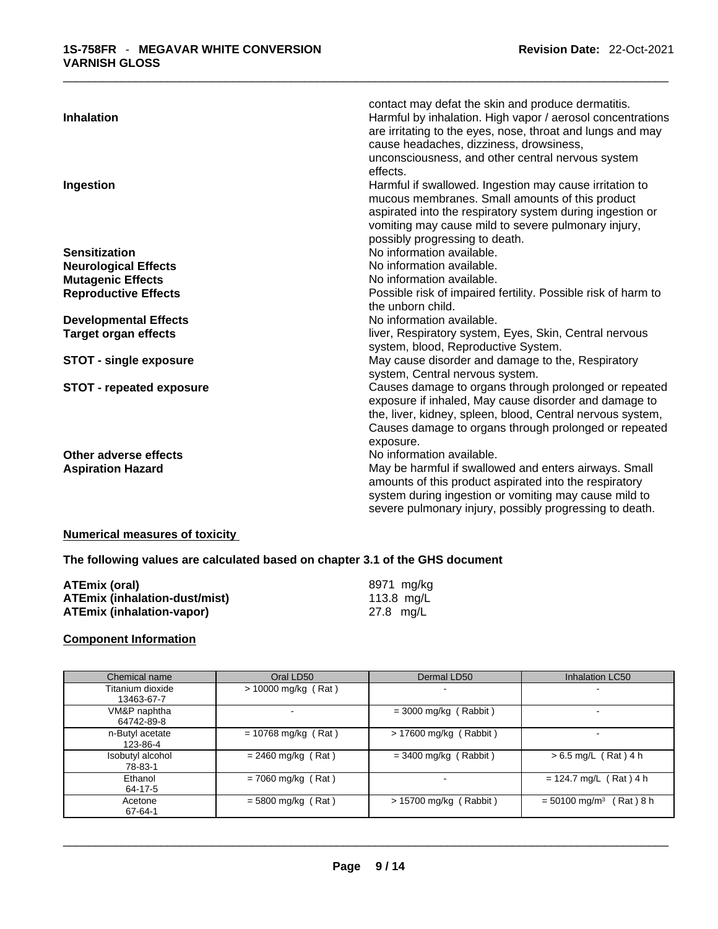| contact may defat the skin and produce dermatitis.                                           |  |
|----------------------------------------------------------------------------------------------|--|
| <b>Inhalation</b><br>Harmful by inhalation. High vapor / aerosol concentrations              |  |
| are irritating to the eyes, nose, throat and lungs and may                                   |  |
| cause headaches, dizziness, drowsiness,                                                      |  |
| unconsciousness, and other central nervous system                                            |  |
| effects.                                                                                     |  |
| Harmful if swallowed. Ingestion may cause irritation to<br>Ingestion                         |  |
| mucous membranes. Small amounts of this product                                              |  |
| aspirated into the respiratory system during ingestion or                                    |  |
| vomiting may cause mild to severe pulmonary injury,                                          |  |
| possibly progressing to death.                                                               |  |
| No information available.<br><b>Sensitization</b>                                            |  |
| No information available.<br><b>Neurological Effects</b>                                     |  |
| No information available.<br><b>Mutagenic Effects</b>                                        |  |
| Possible risk of impaired fertility. Possible risk of harm to<br><b>Reproductive Effects</b> |  |
| the unborn child.                                                                            |  |
| No information available.<br><b>Developmental Effects</b>                                    |  |
| liver, Respiratory system, Eyes, Skin, Central nervous<br><b>Target organ effects</b>        |  |
| system, blood, Reproductive System.                                                          |  |
| May cause disorder and damage to the, Respiratory<br><b>STOT - single exposure</b>           |  |
| system, Central nervous system.                                                              |  |
| Causes damage to organs through prolonged or repeated<br><b>STOT - repeated exposure</b>     |  |
| exposure if inhaled, May cause disorder and damage to                                        |  |
| the, liver, kidney, spleen, blood, Central nervous system,                                   |  |
| Causes damage to organs through prolonged or repeated                                        |  |
| exposure.                                                                                    |  |
| No information available.<br>Other adverse effects                                           |  |
| May be harmful if swallowed and enters airways. Small<br><b>Aspiration Hazard</b>            |  |
| amounts of this product aspirated into the respiratory                                       |  |
| system during ingestion or vomiting may cause mild to                                        |  |
| severe pulmonary injury, possibly progressing to death.                                      |  |

# **Numerical measures of toxicity**

# **The following values are calculated based on chapter 3.1 of the GHS document**

| <b>ATEmix (oral)</b>                 | 8971 mg/ka |  |
|--------------------------------------|------------|--|
| <b>ATEmix (inhalation-dust/mist)</b> | 113.8 mg/L |  |
| <b>ATEmix (inhalation-vapor)</b>     | 27.8 mg/L  |  |

#### **Component Information**

| Chemical name    | Oral LD50             | Dermal LD50              | <b>Inhalation LC50</b>                  |
|------------------|-----------------------|--------------------------|-----------------------------------------|
| Titanium dioxide | $> 10000$ mg/kg (Rat) | -                        |                                         |
| 13463-67-7       |                       |                          |                                         |
| VM&P naphtha     |                       | $=$ 3000 mg/kg (Rabbit)  |                                         |
| 64742-89-8       |                       |                          |                                         |
| n-Butyl acetate  | $= 10768$ mg/kg (Rat) | $> 17600$ mg/kg (Rabbit) |                                         |
| 123-86-4         |                       |                          |                                         |
| Isobutyl alcohol | $= 2460$ mg/kg (Rat)  | $=$ 3400 mg/kg (Rabbit)  | $> 6.5$ mg/L (Rat) 4 h                  |
| 78-83-1          |                       |                          |                                         |
| Ethanol          | $= 7060$ mg/kg (Rat)  | ۰.                       | $= 124.7$ mg/L (Rat) 4 h                |
| 64-17-5          |                       |                          |                                         |
| Acetone          | $= 5800$ mg/kg (Rat)  | $> 15700$ mg/kg (Rabbit) | $= 50100$ mg/m <sup>3</sup><br>Rat) 8 h |
| 67-64-1          |                       |                          |                                         |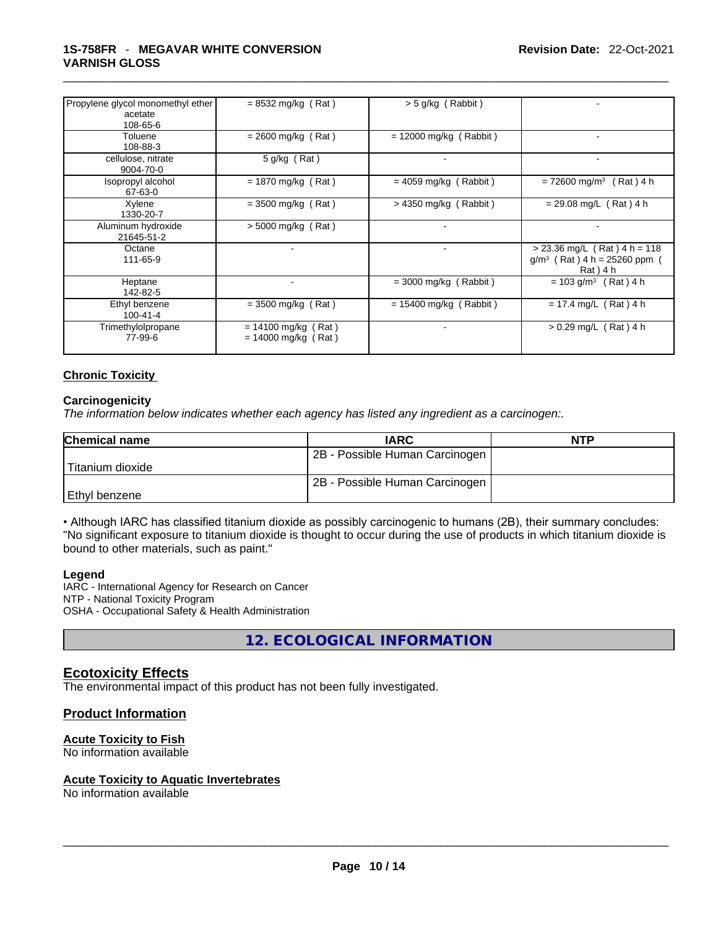#### \_\_\_\_\_\_\_\_\_\_\_\_\_\_\_\_\_\_\_\_\_\_\_\_\_\_\_\_\_\_\_\_\_\_\_\_\_\_\_\_\_\_\_\_\_\_\_\_\_\_\_\_\_\_\_\_\_\_\_\_\_\_\_\_\_\_\_\_\_\_\_\_\_\_\_\_\_\_\_\_\_\_\_\_\_\_\_\_\_\_\_\_\_ **1S-758FR** - **MEGAVAR WHITE CONVERSION VARNISH GLOSS**

| Propylene glycol monomethyl ether | $= 8532 \text{ mg/kg}$ (Rat)                   | $>$ 5 g/kg (Rabbit)      |                                                                              |
|-----------------------------------|------------------------------------------------|--------------------------|------------------------------------------------------------------------------|
| acetate<br>108-65-6               |                                                |                          |                                                                              |
| Toluene<br>108-88-3               | $= 2600$ mg/kg (Rat)                           | $= 12000$ mg/kg (Rabbit) |                                                                              |
| cellulose, nitrate<br>9004-70-0   | $5$ g/kg (Rat)                                 | $\blacksquare$           |                                                                              |
| Isopropyl alcohol<br>67-63-0      | $= 1870$ mg/kg (Rat)                           | $= 4059$ mg/kg (Rabbit)  | $= 72600$ mg/m <sup>3</sup> (Rat) 4 h                                        |
| Xylene<br>1330-20-7               | $=$ 3500 mg/kg (Rat)                           | $>$ 4350 mg/kg (Rabbit)  | $= 29.08$ mg/L (Rat) 4 h                                                     |
| Aluminum hydroxide<br>21645-51-2  | $>$ 5000 mg/kg (Rat)                           | $\blacksquare$           |                                                                              |
| Octane<br>111-65-9                | ÷.                                             | $\blacksquare$           | $>$ 23.36 mg/L (Rat) 4 h = 118<br>$g/m^3$ (Rat) 4 h = 25260 ppm<br>Rat ) 4 h |
| Heptane<br>142-82-5               |                                                | $=$ 3000 mg/kg (Rabbit)  | $= 103$ g/m <sup>3</sup><br>$(Rat)$ 4 h                                      |
| Ethyl benzene<br>$100 - 41 - 4$   | $=$ 3500 mg/kg (Rat)                           | $= 15400$ mg/kg (Rabbit) | $= 17.4$ mg/L (Rat) 4 h                                                      |
| Trimethylolpropane<br>77-99-6     | $= 14100$ mg/kg (Rat)<br>$= 14000$ mg/kg (Rat) |                          | $> 0.29$ mg/L (Rat) 4 h                                                      |
|                                   |                                                |                          |                                                                              |

### **Chronic Toxicity**

#### **Carcinogenicity**

*The information below indicates whether each agency has listed any ingredient as a carcinogen:.* 

| <b>Chemical name</b> | <b>IARC</b>                    | <b>NTP</b> |
|----------------------|--------------------------------|------------|
|                      | 2B - Possible Human Carcinogen |            |
| ±Titanium dioxide    |                                |            |
|                      | 2B - Possible Human Carcinogen |            |
| Ethyl benzene        |                                |            |

• Although IARC has classified titanium dioxide as possibly carcinogenic to humans (2B), their summary concludes: "No significant exposure to titanium dioxide is thought to occur during the use of products in which titanium dioxide is bound to other materials, such as paint."

#### **Legend**

IARC - International Agency for Research on Cancer NTP - National Toxicity Program OSHA - Occupational Safety & Health Administration

**12. ECOLOGICAL INFORMATION** 

# **Ecotoxicity Effects**

The environmental impact of this product has not been fully investigated.

### **Product Information**

### **Acute Toxicity to Fish**

No information available

# **Acute Toxicity to Aquatic Invertebrates**

No information available \_\_\_\_\_\_\_\_\_\_\_\_\_\_\_\_\_\_\_\_\_\_\_\_\_\_\_\_\_\_\_\_\_\_\_\_\_\_\_\_\_\_\_\_\_\_\_\_\_\_\_\_\_\_\_\_\_\_\_\_\_\_\_\_\_\_\_\_\_\_\_\_\_\_\_\_\_\_\_\_\_\_\_\_\_\_\_\_\_\_\_\_\_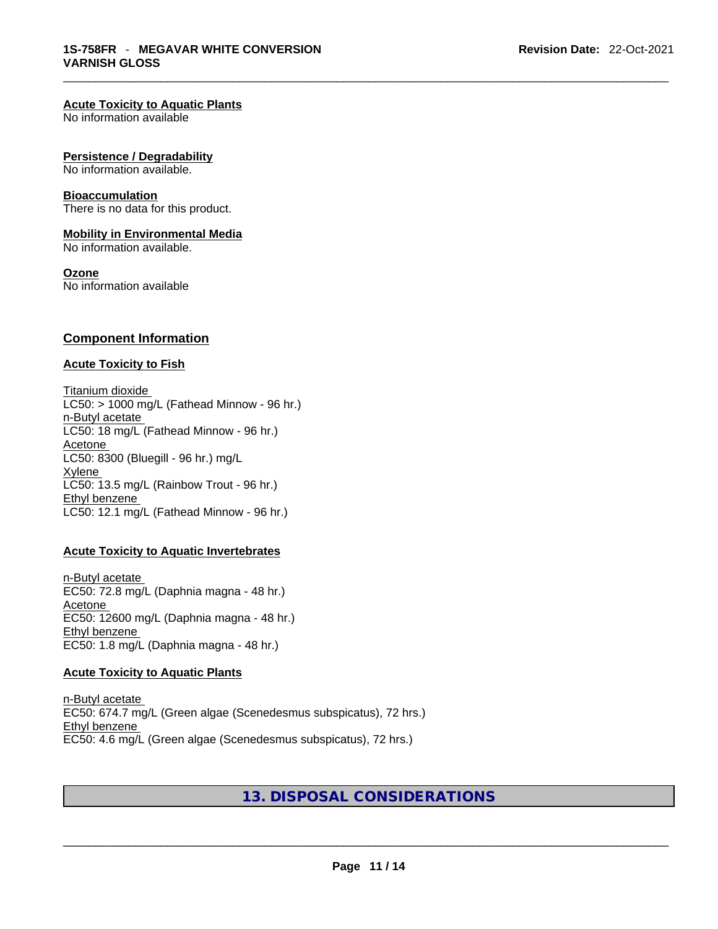#### **Acute Toxicity to Aquatic Plants**

No information available

#### **Persistence / Degradability**

No information available.

#### **Bioaccumulation**

There is no data for this product.

#### **Mobility in Environmental Media**

No information available.

#### **Ozone**

No information available

#### **Component Information**

#### **Acute Toxicity to Fish**

Titanium dioxide  $LC50:$  > 1000 mg/L (Fathead Minnow - 96 hr.) n-Butyl acetate LC50: 18 mg/L (Fathead Minnow - 96 hr.) Acetone LC50: 8300 (Bluegill - 96 hr.) mg/L Xylene LC50: 13.5 mg/L (Rainbow Trout - 96 hr.) Ethyl benzene LC50: 12.1 mg/L (Fathead Minnow - 96 hr.)

#### **Acute Toxicity to Aquatic Invertebrates**

n-Butyl acetate EC50: 72.8 mg/L (Daphnia magna - 48 hr.) Acetone EC50: 12600 mg/L (Daphnia magna - 48 hr.) Ethyl benzene EC50: 1.8 mg/L (Daphnia magna - 48 hr.)

#### **Acute Toxicity to Aquatic Plants**

n-Butyl acetate EC50: 674.7 mg/L (Green algae (Scenedesmus subspicatus), 72 hrs.) Ethyl benzene EC50: 4.6 mg/L (Green algae (Scenedesmus subspicatus), 72 hrs.)

# **13. DISPOSAL CONSIDERATIONS**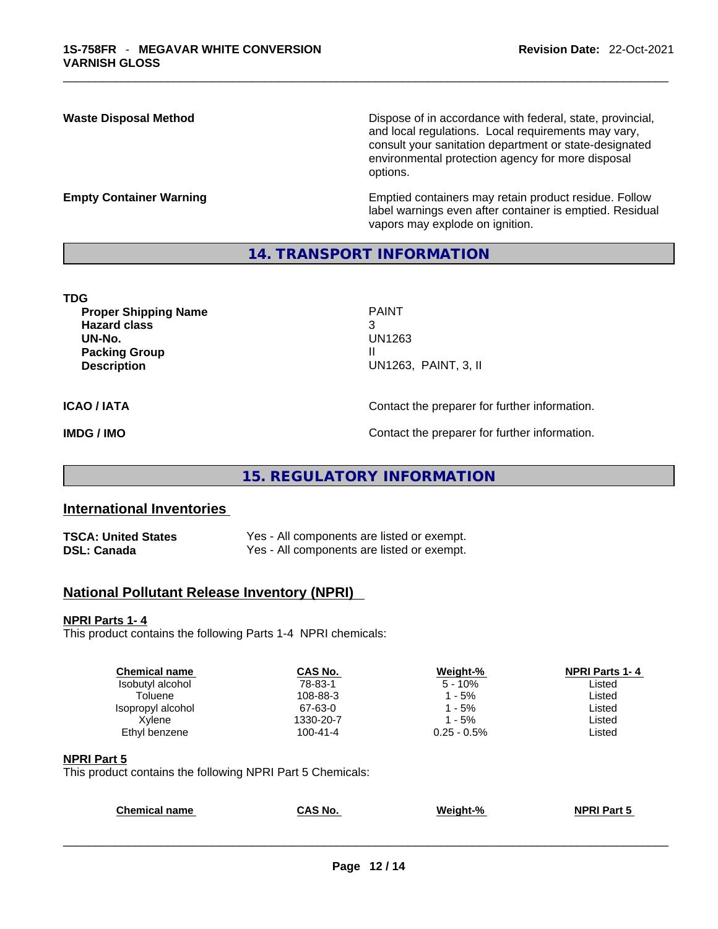**Waste Disposal Method** Dispose of in accordance with federal, state, provincial, and local regulations. Local requirements may vary, consult your sanitation department or state-designated environmental protection agency for more disposal options.

**Empty Container Warning <b>Emptied** Containers may retain product residue. Follow label warnings even after container is emptied. Residual vapors may explode on ignition.

## **14. TRANSPORT INFORMATION**

| TDG                         |                      |
|-----------------------------|----------------------|
| <b>Proper Shipping Name</b> | <b>PAINT</b>         |
| <b>Hazard class</b>         | 3                    |
| UN-No.                      | UN1263               |
| <b>Packing Group</b>        | Ш                    |
| <b>Description</b>          | UN1263, PAINT, 3, II |
|                             |                      |
|                             |                      |

**ICAO / IATA CONTACTER CONTACTER IN CONTACT CONTACT CONTACT CONTACT OF INCAO / IATA** 

**IMDG / IMO Contact the preparer for further information.** 

# **15. REGULATORY INFORMATION**

# **International Inventories**

| <b>TSCA: United States</b> | Yes - All components are listed or exempt. |
|----------------------------|--------------------------------------------|
| <b>DSL: Canada</b>         | Yes - All components are listed or exempt. |

# **National Pollutant Release Inventory (NPRI)**

#### **NPRI Parts 1- 4**

This product contains the following Parts 1-4 NPRI chemicals:

| <b>Chemical name</b> | CAS No.        | Weight-%       | <b>NPRI Parts 1-4</b> |
|----------------------|----------------|----------------|-----------------------|
| Isobutyl alcohol     | 78-83-1        | $5 - 10%$      | Listed                |
| Toluene              | 108-88-3       | $-5\%$         | Listed                |
| Isopropyl alcohol    | 67-63-0        | $1 - 5\%$      | Listed                |
| Xvlene               | 1330-20-7      | 1 - 5%         | Listed                |
| Ethyl benzene        | $100 - 41 - 4$ | $0.25 - 0.5\%$ | ∟isted                |
|                      |                |                |                       |

#### **NPRI Part 5**

This product contains the following NPRI Part 5 Chemicals:

| <b>Chemical name</b> | CAS No. | Weight-% | <b>NPRI Part 5</b> |  |
|----------------------|---------|----------|--------------------|--|
|                      |         |          |                    |  |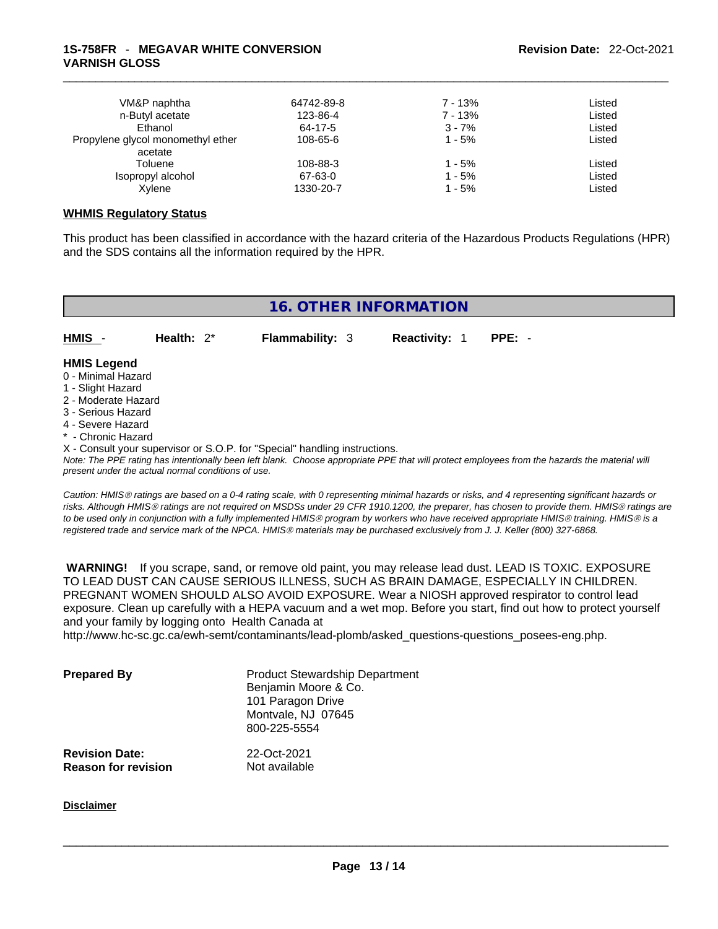| VM&P naphtha                      | 64742-89-8 | 7 - 13%  | Listed |
|-----------------------------------|------------|----------|--------|
| n-Butyl acetate                   | 123-86-4   | 7 - 13%  | Listed |
| Ethanol                           | 64-17-5    | $3 - 7%$ | Listed |
| Propylene glycol monomethyl ether | 108-65-6   | $1 - 5%$ | Listed |
| acetate                           |            |          |        |
| Toluene                           | 108-88-3   | $1 - 5%$ | Listed |
| Isopropyl alcohol                 | 67-63-0    | 1 - 5%   | Listed |
| Xylene                            | 1330-20-7  | 1 - 5%   | Listed |

### **WHMIS Regulatory Status**

This product has been classified in accordance with the hazard criteria of the Hazardous Products Regulations (HPR) and the SDS contains all the information required by the HPR.



*Caution: HMISÒ ratings are based on a 0-4 rating scale, with 0 representing minimal hazards or risks, and 4 representing significant hazards or risks. Although HMISÒ ratings are not required on MSDSs under 29 CFR 1910.1200, the preparer, has chosen to provide them. HMISÒ ratings are to be used only in conjunction with a fully implemented HMISÒ program by workers who have received appropriate HMISÒ training. HMISÒ is a registered trade and service mark of the NPCA. HMISÒ materials may be purchased exclusively from J. J. Keller (800) 327-6868.* 

 **WARNING!** If you scrape, sand, or remove old paint, you may release lead dust. LEAD IS TOXIC. EXPOSURE TO LEAD DUST CAN CAUSE SERIOUS ILLNESS, SUCH AS BRAIN DAMAGE, ESPECIALLY IN CHILDREN. PREGNANT WOMEN SHOULD ALSO AVOID EXPOSURE. Wear a NIOSH approved respirator to control lead exposure. Clean up carefully with a HEPA vacuum and a wet mop. Before you start, find out how to protect yourself and your family by logging onto Health Canada at http://www.hc-sc.gc.ca/ewh-semt/contaminants/lead-plomb/asked\_questions-questions\_posees-eng.php.

| <b>Prepared By</b>    | <b>Product Stewardship Department</b><br>Benjamin Moore & Co.<br>101 Paragon Drive<br>Montvale, NJ 07645<br>800-225-5554 |  |
|-----------------------|--------------------------------------------------------------------------------------------------------------------------|--|
| <b>Revision Date:</b> | 22-Oct-2021                                                                                                              |  |

**Reason for revision** Not available

#### **Disclaimer**